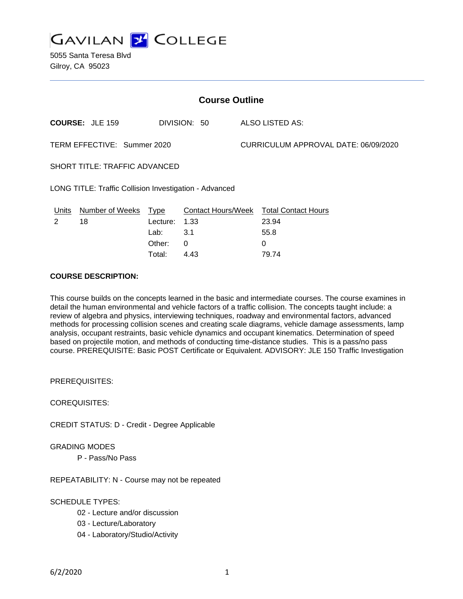

| <b>Course Outline</b>                                  |                        |          |                    |                                      |                            |
|--------------------------------------------------------|------------------------|----------|--------------------|--------------------------------------|----------------------------|
|                                                        | <b>COURSE: JLE 159</b> |          | DIVISION: 50       |                                      | ALSO LISTED AS:            |
| TERM EFFECTIVE: Summer 2020                            |                        |          |                    | CURRICULUM APPROVAL DATE: 06/09/2020 |                            |
| <b>SHORT TITLE: TRAFFIC ADVANCED</b>                   |                        |          |                    |                                      |                            |
| LONG TITLE: Traffic Collision Investigation - Advanced |                        |          |                    |                                      |                            |
| Units                                                  | Number of Weeks        | Type     | Contact Hours/Week |                                      | <b>Total Contact Hours</b> |
| 2                                                      | 18                     | Lecture: | 1.33               |                                      | 23.94                      |
|                                                        |                        | Lab:     | 3.1                |                                      | 55.8                       |
|                                                        |                        | Other:   | 0                  |                                      | 0                          |
|                                                        |                        | Total:   | 4.43               |                                      | 79.74                      |

#### **COURSE DESCRIPTION:**

This course builds on the concepts learned in the basic and intermediate courses. The course examines in detail the human environmental and vehicle factors of a traffic collision. The concepts taught include: a review of algebra and physics, interviewing techniques, roadway and environmental factors, advanced methods for processing collision scenes and creating scale diagrams, vehicle damage assessments, lamp analysis, occupant restraints, basic vehicle dynamics and occupant kinematics. Determination of speed based on projectile motion, and methods of conducting time-distance studies. This is a pass/no pass course. PREREQUISITE: Basic POST Certificate or Equivalent. ADVISORY: JLE 150 Traffic Investigation

PREREQUISITES:

COREQUISITES:

CREDIT STATUS: D - Credit - Degree Applicable

#### GRADING MODES

P - Pass/No Pass

REPEATABILITY: N - Course may not be repeated

#### SCHEDULE TYPES:

- 02 Lecture and/or discussion
- 03 Lecture/Laboratory
- 04 Laboratory/Studio/Activity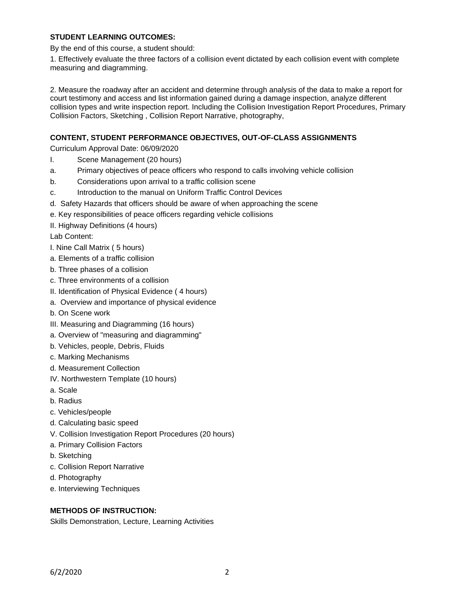#### **STUDENT LEARNING OUTCOMES:**

By the end of this course, a student should:

1. Effectively evaluate the three factors of a collision event dictated by each collision event with complete measuring and diagramming.

2. Measure the roadway after an accident and determine through analysis of the data to make a report for court testimony and access and list information gained during a damage inspection, analyze different collision types and write inspection report. Including the Collision Investigation Report Procedures, Primary Collision Factors, Sketching , Collision Report Narrative, photography,

## **CONTENT, STUDENT PERFORMANCE OBJECTIVES, OUT-OF-CLASS ASSIGNMENTS**

Curriculum Approval Date: 06/09/2020

- I. Scene Management (20 hours)
- a. Primary objectives of peace officers who respond to calls involving vehicle collision
- b. Considerations upon arrival to a traffic collision scene
- c. Introduction to the manual on Uniform Traffic Control Devices
- d. Safety Hazards that officers should be aware of when approaching the scene
- e. Key responsibilities of peace officers regarding vehicle collisions
- II. Highway Definitions (4 hours)

Lab Content:

- I. Nine Call Matrix ( 5 hours)
- a. Elements of a traffic collision
- b. Three phases of a collision
- c. Three environments of a collision
- II. Identification of Physical Evidence ( 4 hours)
- a. Overview and importance of physical evidence
- b. On Scene work
- III. Measuring and Diagramming (16 hours)
- a. Overview of "measuring and diagramming"
- b. Vehicles, people, Debris, Fluids
- c. Marking Mechanisms
- d. Measurement Collection
- IV. Northwestern Template (10 hours)
- a. Scale
- b. Radius
- c. Vehicles/people
- d. Calculating basic speed
- V. Collision Investigation Report Procedures (20 hours)
- a. Primary Collision Factors
- b. Sketching
- c. Collision Report Narrative
- d. Photography
- e. Interviewing Techniques

# **METHODS OF INSTRUCTION:**

Skills Demonstration, Lecture, Learning Activities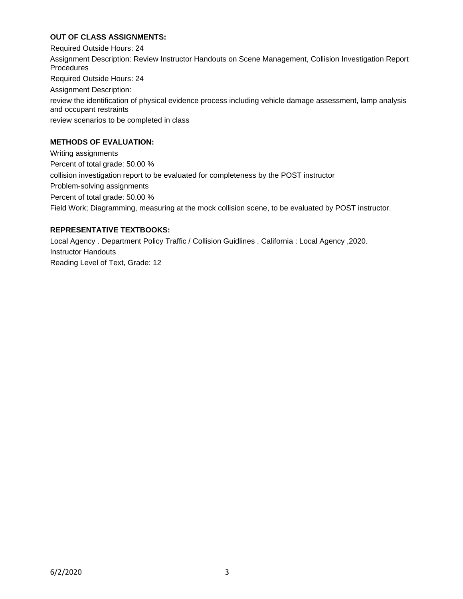## **OUT OF CLASS ASSIGNMENTS:**

Required Outside Hours: 24 Assignment Description: Review Instructor Handouts on Scene Management, Collision Investigation Report **Procedures** Required Outside Hours: 24 Assignment Description: review the identification of physical evidence process including vehicle damage assessment, lamp analysis and occupant restraints review scenarios to be completed in class

# **METHODS OF EVALUATION:**

Writing assignments Percent of total grade: 50.00 % collision investigation report to be evaluated for completeness by the POST instructor Problem-solving assignments Percent of total grade: 50.00 % Field Work; Diagramming, measuring at the mock collision scene, to be evaluated by POST instructor.

## **REPRESENTATIVE TEXTBOOKS:**

Local Agency . Department Policy Traffic / Collision Guidlines . California : Local Agency ,2020. Instructor Handouts Reading Level of Text, Grade: 12